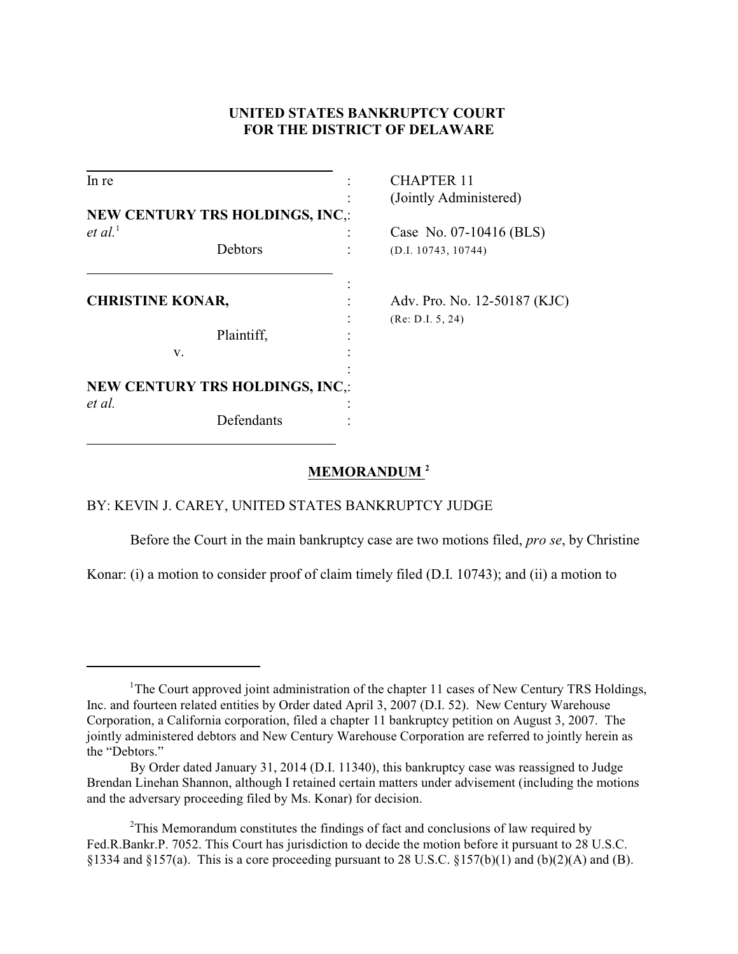# **UNITED STATES BANKRUPTCY COURT FOR THE DISTRICT OF DELAWARE**

| In re                   |                                        | <b>CHAPTER 11</b>            |
|-------------------------|----------------------------------------|------------------------------|
|                         |                                        | (Jointly Administered)       |
|                         | <b>NEW CENTURY TRS HOLDINGS, INC.:</b> |                              |
| $et al.$ <sup>1</sup>   |                                        | Case No. 07-10416 (BLS)      |
|                         | Debtors                                | (D.I. 10743, 10744)          |
| <b>CHRISTINE KONAR,</b> |                                        | Adv. Pro. No. 12-50187 (KJC) |
|                         | Plaintiff,                             | (Re: D.I. 5, 24)             |
|                         | V.                                     |                              |
|                         | <b>NEW CENTURY TRS HOLDINGS, INC.:</b> |                              |
| et al.                  | Defendants                             |                              |

## **MEMORANDUM <sup>2</sup>**

## BY: KEVIN J. CAREY, UNITED STATES BANKRUPTCY JUDGE

Before the Court in the main bankruptcy case are two motions filed, *pro se*, by Christine

Konar: (i) a motion to consider proof of claim timely filed (D.I. 10743); and (ii) a motion to

<sup>&</sup>lt;sup>1</sup>The Court approved joint administration of the chapter 11 cases of New Century TRS Holdings, Inc. and fourteen related entities by Order dated April 3, 2007 (D.I. 52). New Century Warehouse Corporation, a California corporation, filed a chapter 11 bankruptcy petition on August 3, 2007. The jointly administered debtors and New Century Warehouse Corporation are referred to jointly herein as the "Debtors."

By Order dated January 31, 2014 (D.I. 11340), this bankruptcy case was reassigned to Judge Brendan Linehan Shannon, although I retained certain matters under advisement (including the motions and the adversary proceeding filed by Ms. Konar) for decision.

 $2$ This Memorandum constitutes the findings of fact and conclusions of law required by Fed.R.Bankr.P. 7052. This Court has jurisdiction to decide the motion before it pursuant to 28 U.S.C. §1334 and §157(a). This is a core proceeding pursuant to 28 U.S.C. §157(b)(1) and (b)(2)(A) and (B).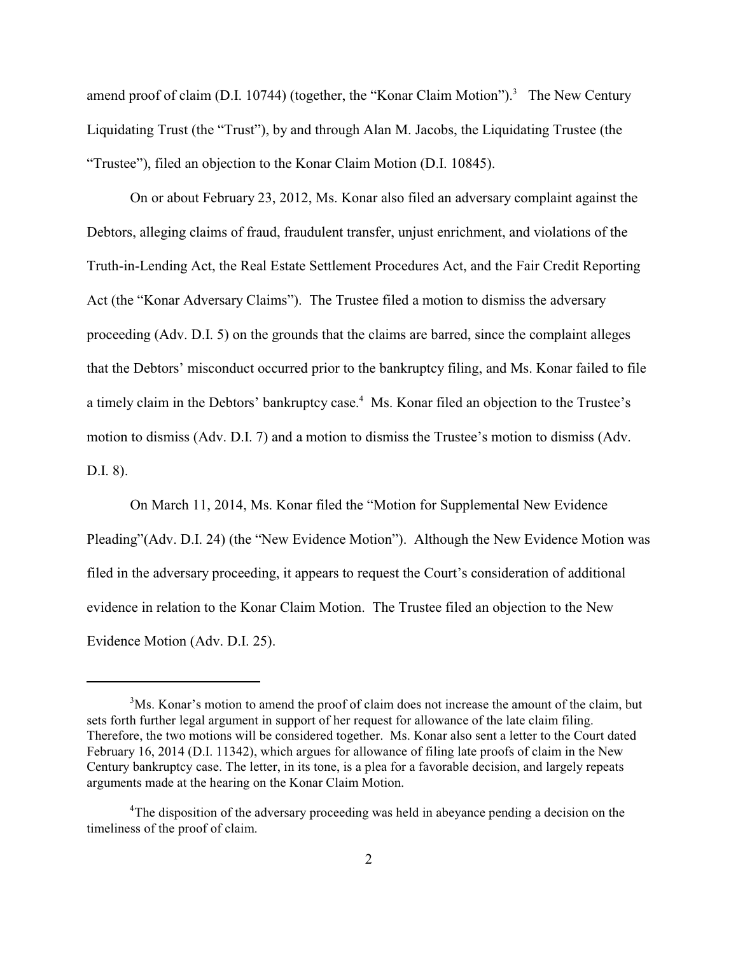amend proof of claim (D.I. 10744) (together, the "Konar Claim Motion").<sup>3</sup> The New Century Liquidating Trust (the "Trust"), by and through Alan M. Jacobs, the Liquidating Trustee (the "Trustee"), filed an objection to the Konar Claim Motion (D.I. 10845).

On or about February 23, 2012, Ms. Konar also filed an adversary complaint against the Debtors, alleging claims of fraud, fraudulent transfer, unjust enrichment, and violations of the Truth-in-Lending Act, the Real Estate Settlement Procedures Act, and the Fair Credit Reporting Act (the "Konar Adversary Claims"). The Trustee filed a motion to dismiss the adversary proceeding (Adv. D.I. 5) on the grounds that the claims are barred, since the complaint alleges that the Debtors' misconduct occurred prior to the bankruptcy filing, and Ms. Konar failed to file a timely claim in the Debtors' bankruptcy case.<sup>4</sup> Ms. Konar filed an objection to the Trustee's motion to dismiss (Adv. D.I. 7) and a motion to dismiss the Trustee's motion to dismiss (Adv. D.I. 8).

On March 11, 2014, Ms. Konar filed the "Motion for Supplemental New Evidence Pleading"(Adv. D.I. 24) (the "New Evidence Motion"). Although the New Evidence Motion was filed in the adversary proceeding, it appears to request the Court's consideration of additional evidence in relation to the Konar Claim Motion. The Trustee filed an objection to the New Evidence Motion (Adv. D.I. 25).

<sup>&</sup>lt;sup>3</sup>Ms. Konar's motion to amend the proof of claim does not increase the amount of the claim, but sets forth further legal argument in support of her request for allowance of the late claim filing. Therefore, the two motions will be considered together. Ms. Konar also sent a letter to the Court dated February 16, 2014 (D.I. 11342), which argues for allowance of filing late proofs of claim in the New Century bankruptcy case. The letter, in its tone, is a plea for a favorable decision, and largely repeats arguments made at the hearing on the Konar Claim Motion.

 $4$ The disposition of the adversary proceeding was held in abeyance pending a decision on the timeliness of the proof of claim.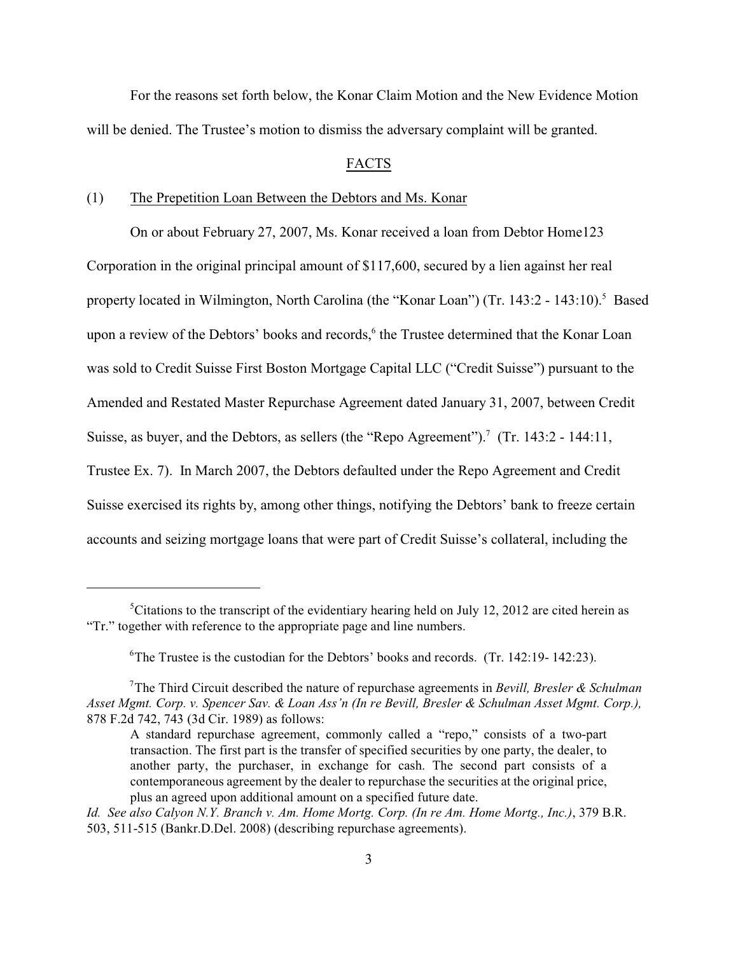For the reasons set forth below, the Konar Claim Motion and the New Evidence Motion will be denied. The Trustee's motion to dismiss the adversary complaint will be granted.

#### FACTS

### (1) The Prepetition Loan Between the Debtors and Ms. Konar

On or about February 27, 2007, Ms. Konar received a loan from Debtor Home123 Corporation in the original principal amount of \$117,600, secured by a lien against her real property located in Wilmington, North Carolina (the "Konar Loan") (Tr. 143:2 - 143:10).<sup>5</sup> Based upon a review of the Debtors' books and records,<sup>6</sup> the Trustee determined that the Konar Loan was sold to Credit Suisse First Boston Mortgage Capital LLC ("Credit Suisse") pursuant to the Amended and Restated Master Repurchase Agreement dated January 31, 2007, between Credit Suisse, as buyer, and the Debtors, as sellers (the "Repo Agreement").<sup>7</sup> (Tr. 143:2 - 144:11, Trustee Ex. 7). In March 2007, the Debtors defaulted under the Repo Agreement and Credit Suisse exercised its rights by, among other things, notifying the Debtors' bank to freeze certain accounts and seizing mortgage loans that were part of Credit Suisse's collateral, including the

 ${}^5$ Citations to the transcript of the evidentiary hearing held on July 12, 2012 are cited herein as "Tr." together with reference to the appropriate page and line numbers.

<sup>&</sup>lt;sup>6</sup>The Trustee is the custodian for the Debtors' books and records. (Tr. 142:19- 142:23).

The Third Circuit described the nature of repurchase agreements in *Bevill, Bresler & Schulman* 7 *Asset Mgmt. Corp. v. Spencer Sav. & Loan Ass'n (In re Bevill, Bresler & Schulman Asset Mgmt. Corp.),* 878 F.2d 742, 743 (3d Cir. 1989) as follows:

A standard repurchase agreement, commonly called a "repo," consists of a two-part transaction. The first part is the transfer of specified securities by one party, the dealer, to another party, the purchaser, in exchange for cash. The second part consists of a contemporaneous agreement by the dealer to repurchase the securities at the original price, plus an agreed upon additional amount on a specified future date.

*Id. See also Calyon N.Y. Branch v. Am. Home Mortg. Corp. (In re Am. Home Mortg., Inc.)*, 379 B.R. 503, 511-515 (Bankr.D.Del. 2008) (describing repurchase agreements).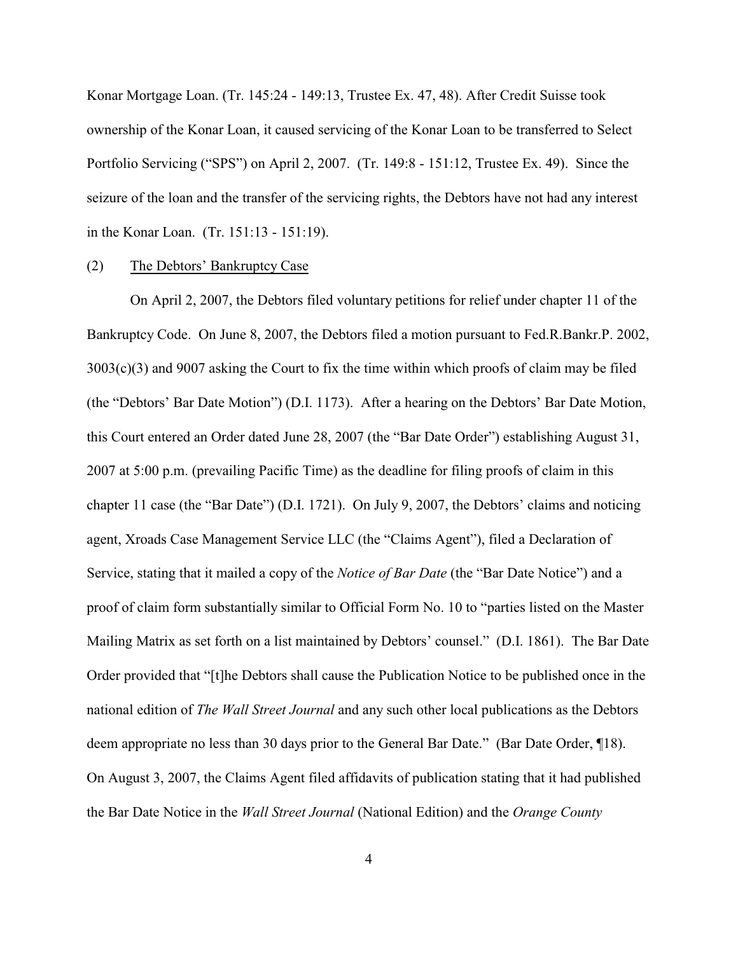Konar Mortgage Loan. (Tr. 145:24 - 149:13, Trustee Ex. 47, 48). After Credit Suisse took ownership of the Konar Loan, it caused servicing of the Konar Loan to be transferred to Select Portfolio Servicing ("SPS") on April 2, 2007. (Tr. 149:8 - 151:12, Trustee Ex. 49). Since the seizure of the loan and the transfer of the servicing rights, the Debtors have not had any interest in the Konar Loan. (Tr. 151:13 - 151:19).

#### (2) The Debtors' Bankruptcy Case

On April 2, 2007, the Debtors filed voluntary petitions for relief under chapter 11 of the Bankruptcy Code. On June 8, 2007, the Debtors filed a motion pursuant to Fed.R.Bankr.P. 2002, 3003(c)(3) and 9007 asking the Court to fix the time within which proofs of claim may be filed (the "Debtors' Bar Date Motion") (D.I. 1173). After a hearing on the Debtors' Bar Date Motion, this Court entered an Order dated June 28, 2007 (the "Bar Date Order") establishing August 31, 2007 at 5:00 p.m. (prevailing Pacific Time) as the deadline for filing proofs of claim in this chapter 11 case (the "Bar Date") (D.I. 1721). On July 9, 2007, the Debtors' claims and noticing agent, Xroads Case Management Service LLC (the "Claims Agent"), filed a Declaration of Service, stating that it mailed a copy of the *Notice of Bar Date* (the "Bar Date Notice") and a proof of claim form substantially similar to Official Form No. 10 to "parties listed on the Master Mailing Matrix as set forth on a list maintained by Debtors' counsel." (D.I. 1861). The Bar Date Order provided that "[t]he Debtors shall cause the Publication Notice to be published once in the national edition of *The Wall Street Journal* and any such other local publications as the Debtors deem appropriate no less than 30 days prior to the General Bar Date." (Bar Date Order, ¶18). On August 3, 2007, the Claims Agent filed affidavits of publication stating that it had published the Bar Date Notice in the *Wall Street Journal* (National Edition) and the *Orange County*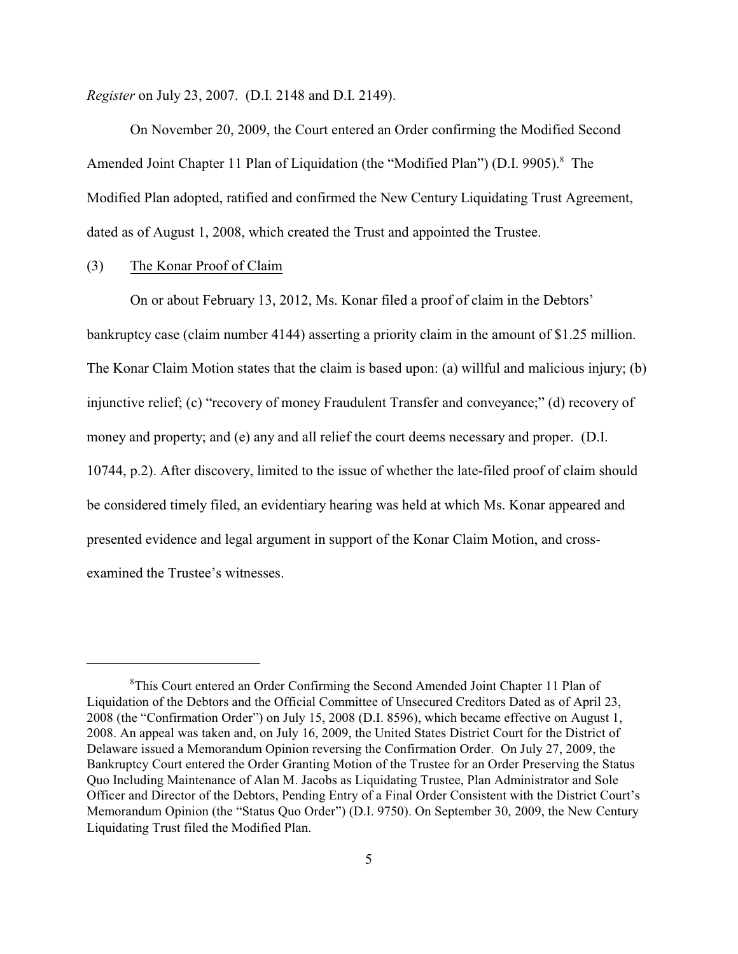*Register* on July 23, 2007. (D.I. 2148 and D.I. 2149).

On November 20, 2009, the Court entered an Order confirming the Modified Second Amended Joint Chapter 11 Plan of Liquidation (the "Modified Plan") (D.I. 9905).<sup>8</sup> The Modified Plan adopted, ratified and confirmed the New Century Liquidating Trust Agreement, dated as of August 1, 2008, which created the Trust and appointed the Trustee.

## (3) The Konar Proof of Claim

On or about February 13, 2012, Ms. Konar filed a proof of claim in the Debtors' bankruptcy case (claim number 4144) asserting a priority claim in the amount of \$1.25 million. The Konar Claim Motion states that the claim is based upon: (a) willful and malicious injury; (b) injunctive relief; (c) "recovery of money Fraudulent Transfer and conveyance;" (d) recovery of money and property; and (e) any and all relief the court deems necessary and proper. (D.I. 10744, p.2). After discovery, limited to the issue of whether the late-filed proof of claim should be considered timely filed, an evidentiary hearing was held at which Ms. Konar appeared and presented evidence and legal argument in support of the Konar Claim Motion, and crossexamined the Trustee's witnesses.

<sup>&</sup>lt;sup>8</sup>This Court entered an Order Confirming the Second Amended Joint Chapter 11 Plan of Liquidation of the Debtors and the Official Committee of Unsecured Creditors Dated as of April 23, 2008 (the "Confirmation Order") on July 15, 2008 (D.I. 8596), which became effective on August 1, 2008. An appeal was taken and, on July 16, 2009, the United States District Court for the District of Delaware issued a Memorandum Opinion reversing the Confirmation Order. On July 27, 2009, the Bankruptcy Court entered the Order Granting Motion of the Trustee for an Order Preserving the Status Quo Including Maintenance of Alan M. Jacobs as Liquidating Trustee, Plan Administrator and Sole Officer and Director of the Debtors, Pending Entry of a Final Order Consistent with the District Court's Memorandum Opinion (the "Status Quo Order") (D.I. 9750). On September 30, 2009, the New Century Liquidating Trust filed the Modified Plan.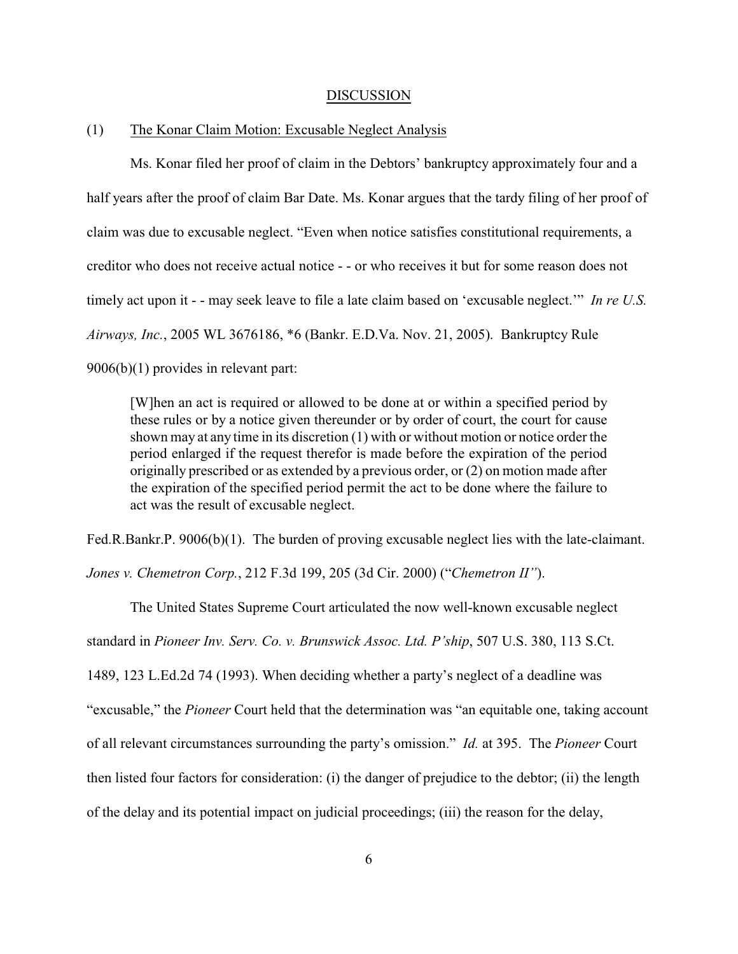#### DISCUSSION

### (1) The Konar Claim Motion: Excusable Neglect Analysis

Ms. Konar filed her proof of claim in the Debtors' bankruptcy approximately four and a half years after the proof of claim Bar Date. Ms. Konar argues that the tardy filing of her proof of claim was due to excusable neglect. "Even when notice satisfies constitutional requirements, a creditor who does not receive actual notice - - or who receives it but for some reason does not timely act upon it - - may seek leave to file a late claim based on 'excusable neglect.'" *In re U.S. Airways, Inc.*, 2005 WL 3676186, \*6 (Bankr. E.D.Va. Nov. 21, 2005). Bankruptcy Rule 9006(b)(1) provides in relevant part:

[W]hen an act is required or allowed to be done at or within a specified period by these rules or by a notice given thereunder or by order of court, the court for cause shown may at any time in its discretion (1) with or without motion or notice order the period enlarged if the request therefor is made before the expiration of the period originally prescribed or as extended by a previous order, or (2) on motion made after the expiration of the specified period permit the act to be done where the failure to act was the result of excusable neglect.

Fed.R.Bankr.P. 9006(b)(1). The burden of proving excusable neglect lies with the late-claimant.

*Jones v. Chemetron Corp.*, 212 F.3d 199, 205 (3d Cir. 2000) ("*Chemetron II"*).

The United States Supreme Court articulated the now well-known excusable neglect standard in *Pioneer Inv. Serv. Co. v. Brunswick Assoc. Ltd. P'ship*, 507 U.S. 380, 113 S.Ct. 1489, 123 L.Ed.2d 74 (1993). When deciding whether a party's neglect of a deadline was "excusable," the *Pioneer* Court held that the determination was "an equitable one, taking account of all relevant circumstances surrounding the party's omission." *Id.* at 395. The *Pioneer* Court then listed four factors for consideration: (i) the danger of prejudice to the debtor; (ii) the length of the delay and its potential impact on judicial proceedings; (iii) the reason for the delay,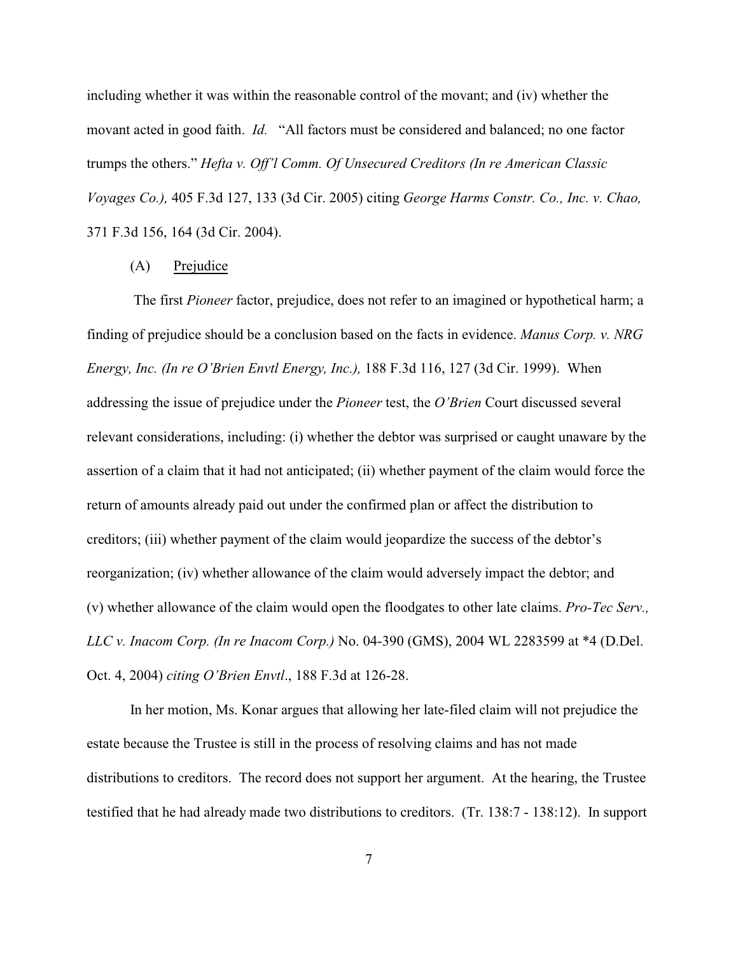including whether it was within the reasonable control of the movant; and (iv) whether the movant acted in good faith. *Id.* "All factors must be considered and balanced; no one factor trumps the others." *Hefta v. Off'l Comm. Of Unsecured Creditors (In re American Classic Voyages Co.),* 405 F.3d 127, 133 (3d Cir. 2005) citing *George Harms Constr. Co., Inc. v. Chao,* 371 F.3d 156, 164 (3d Cir. 2004).

#### (A) Prejudice

 The first *Pioneer* factor, prejudice, does not refer to an imagined or hypothetical harm; a finding of prejudice should be a conclusion based on the facts in evidence. *Manus Corp. v. NRG Energy, Inc. (In re O'Brien Envtl Energy, Inc.),* 188 F.3d 116, 127 (3d Cir. 1999). When addressing the issue of prejudice under the *Pioneer* test, the *O'Brien* Court discussed several relevant considerations, including: (i) whether the debtor was surprised or caught unaware by the assertion of a claim that it had not anticipated; (ii) whether payment of the claim would force the return of amounts already paid out under the confirmed plan or affect the distribution to creditors; (iii) whether payment of the claim would jeopardize the success of the debtor's reorganization; (iv) whether allowance of the claim would adversely impact the debtor; and (v) whether allowance of the claim would open the floodgates to other late claims. *Pro-Tec Serv., LLC v. Inacom Corp. (In re Inacom Corp.)* No. 04-390 (GMS), 2004 WL 2283599 at \*4 (D.Del. Oct. 4, 2004) *citing O'Brien Envtl*., 188 F.3d at 126-28.

In her motion, Ms. Konar argues that allowing her late-filed claim will not prejudice the estate because the Trustee is still in the process of resolving claims and has not made distributions to creditors. The record does not support her argument. At the hearing, the Trustee testified that he had already made two distributions to creditors. (Tr. 138:7 - 138:12). In support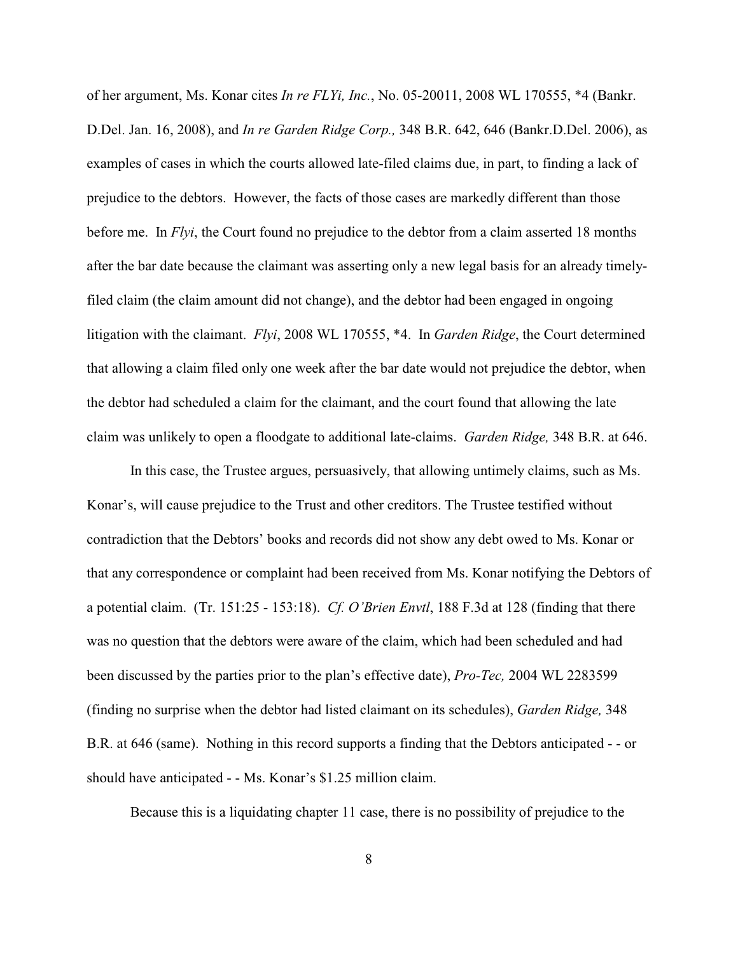of her argument, Ms. Konar cites *In re FLYi, Inc.*, No. 05-20011, 2008 WL 170555, \*4 (Bankr. D.Del. Jan. 16, 2008), and *In re Garden Ridge Corp.,* 348 B.R. 642, 646 (Bankr.D.Del. 2006), as examples of cases in which the courts allowed late-filed claims due, in part, to finding a lack of prejudice to the debtors. However, the facts of those cases are markedly different than those before me. In *Flyi*, the Court found no prejudice to the debtor from a claim asserted 18 months after the bar date because the claimant was asserting only a new legal basis for an already timelyfiled claim (the claim amount did not change), and the debtor had been engaged in ongoing litigation with the claimant. *Flyi*, 2008 WL 170555, \*4. In *Garden Ridge*, the Court determined that allowing a claim filed only one week after the bar date would not prejudice the debtor, when the debtor had scheduled a claim for the claimant, and the court found that allowing the late claim was unlikely to open a floodgate to additional late-claims. *Garden Ridge,* 348 B.R. at 646.

In this case, the Trustee argues, persuasively, that allowing untimely claims, such as Ms. Konar's, will cause prejudice to the Trust and other creditors. The Trustee testified without contradiction that the Debtors' books and records did not show any debt owed to Ms. Konar or that any correspondence or complaint had been received from Ms. Konar notifying the Debtors of a potential claim. (Tr. 151:25 - 153:18). *Cf. O'Brien Envtl*, 188 F.3d at 128 (finding that there was no question that the debtors were aware of the claim, which had been scheduled and had been discussed by the parties prior to the plan's effective date), *Pro-Tec,* 2004 WL 2283599 (finding no surprise when the debtor had listed claimant on its schedules), *Garden Ridge,* 348 B.R. at 646 (same). Nothing in this record supports a finding that the Debtors anticipated - - or should have anticipated - - Ms. Konar's \$1.25 million claim.

Because this is a liquidating chapter 11 case, there is no possibility of prejudice to the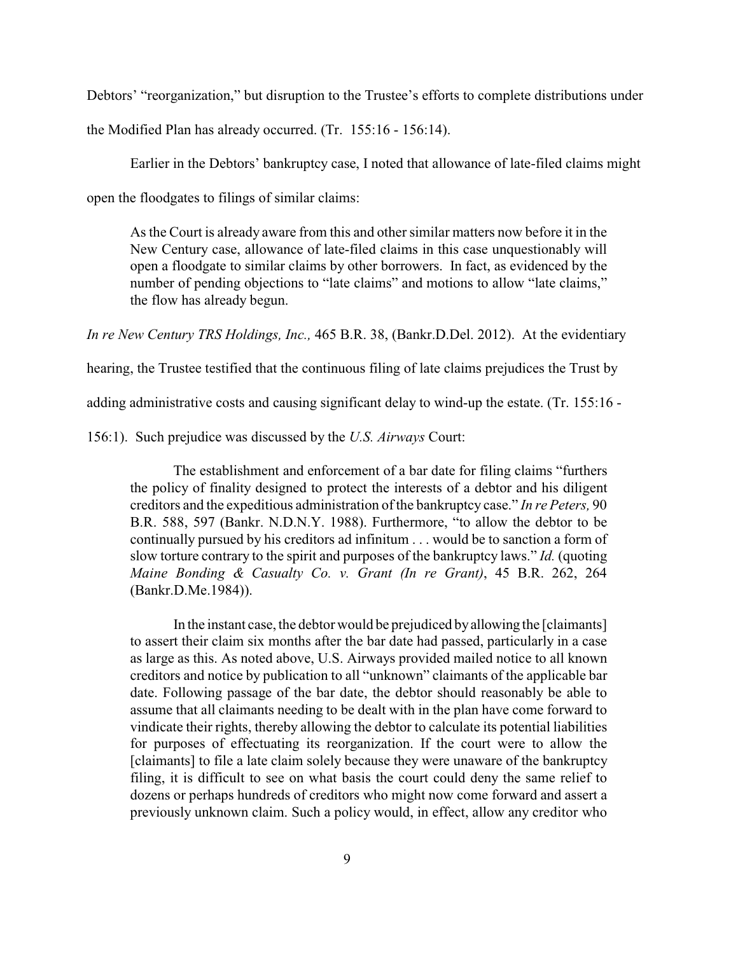Debtors' "reorganization," but disruption to the Trustee's efforts to complete distributions under the Modified Plan has already occurred. (Tr. 155:16 - 156:14).

Earlier in the Debtors' bankruptcy case, I noted that allowance of late-filed claims might open the floodgates to filings of similar claims:

As the Court is already aware from this and other similar matters now before it in the New Century case, allowance of late-filed claims in this case unquestionably will open a floodgate to similar claims by other borrowers. In fact, as evidenced by the number of pending objections to "late claims" and motions to allow "late claims," the flow has already begun.

*In re New Century TRS Holdings, Inc.,* 465 B.R. 38, (Bankr.D.Del. 2012). At the evidentiary

hearing, the Trustee testified that the continuous filing of late claims prejudices the Trust by

adding administrative costs and causing significant delay to wind-up the estate. (Tr. 155:16 -

156:1). Such prejudice was discussed by the *U.S. Airways* Court:

The establishment and enforcement of a bar date for filing claims "furthers the policy of finality designed to protect the interests of a debtor and his diligent creditors and the expeditious administration of the bankruptcy case." *In re Peters,* 90 B.R. 588, 597 (Bankr. N.D.N.Y. 1988). Furthermore, "to allow the debtor to be continually pursued by his creditors ad infinitum . . . would be to sanction a form of slow torture contrary to the spirit and purposes of the bankruptcy laws." *Id.* (quoting *Maine Bonding & Casualty Co. v. Grant (In re Grant)*, 45 B.R. 262, 264 (Bankr.D.Me.1984)).

In the instant case, the debtor would be prejudiced byallowing the [claimants] to assert their claim six months after the bar date had passed, particularly in a case as large as this. As noted above, U.S. Airways provided mailed notice to all known creditors and notice by publication to all "unknown" claimants of the applicable bar date. Following passage of the bar date, the debtor should reasonably be able to assume that all claimants needing to be dealt with in the plan have come forward to vindicate their rights, thereby allowing the debtor to calculate its potential liabilities for purposes of effectuating its reorganization. If the court were to allow the [claimants] to file a late claim solely because they were unaware of the bankruptcy filing, it is difficult to see on what basis the court could deny the same relief to dozens or perhaps hundreds of creditors who might now come forward and assert a previously unknown claim. Such a policy would, in effect, allow any creditor who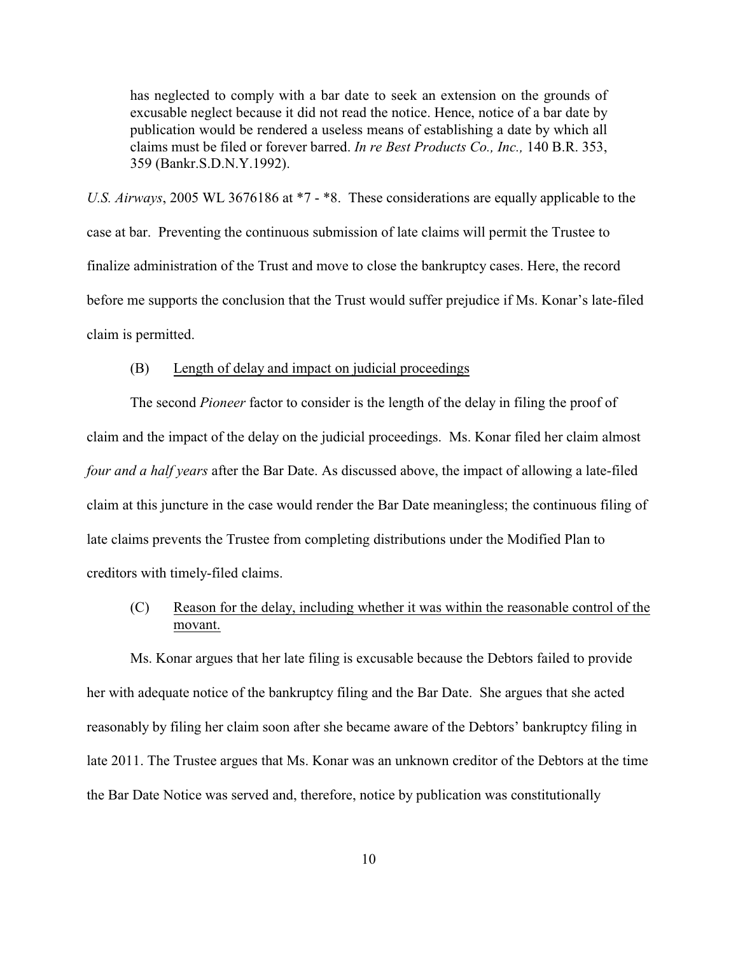has neglected to comply with a bar date to seek an extension on the grounds of excusable neglect because it did not read the notice. Hence, notice of a bar date by publication would be rendered a useless means of establishing a date by which all claims must be filed or forever barred. *In re Best Products Co., Inc.,* 140 B.R. 353, 359 (Bankr.S.D.N.Y.1992).

*U.S. Airways*, 2005 WL 3676186 at \*7 - \*8. These considerations are equally applicable to the case at bar. Preventing the continuous submission of late claims will permit the Trustee to finalize administration of the Trust and move to close the bankruptcy cases. Here, the record before me supports the conclusion that the Trust would suffer prejudice if Ms. Konar's late-filed claim is permitted.

### (B) Length of delay and impact on judicial proceedings

The second *Pioneer* factor to consider is the length of the delay in filing the proof of claim and the impact of the delay on the judicial proceedings. Ms. Konar filed her claim almost *four and a half years* after the Bar Date. As discussed above, the impact of allowing a late-filed claim at this juncture in the case would render the Bar Date meaningless; the continuous filing of late claims prevents the Trustee from completing distributions under the Modified Plan to creditors with timely-filed claims.

(C) Reason for the delay, including whether it was within the reasonable control of the movant.

Ms. Konar argues that her late filing is excusable because the Debtors failed to provide her with adequate notice of the bankruptcy filing and the Bar Date. She argues that she acted reasonably by filing her claim soon after she became aware of the Debtors' bankruptcy filing in late 2011. The Trustee argues that Ms. Konar was an unknown creditor of the Debtors at the time the Bar Date Notice was served and, therefore, notice by publication was constitutionally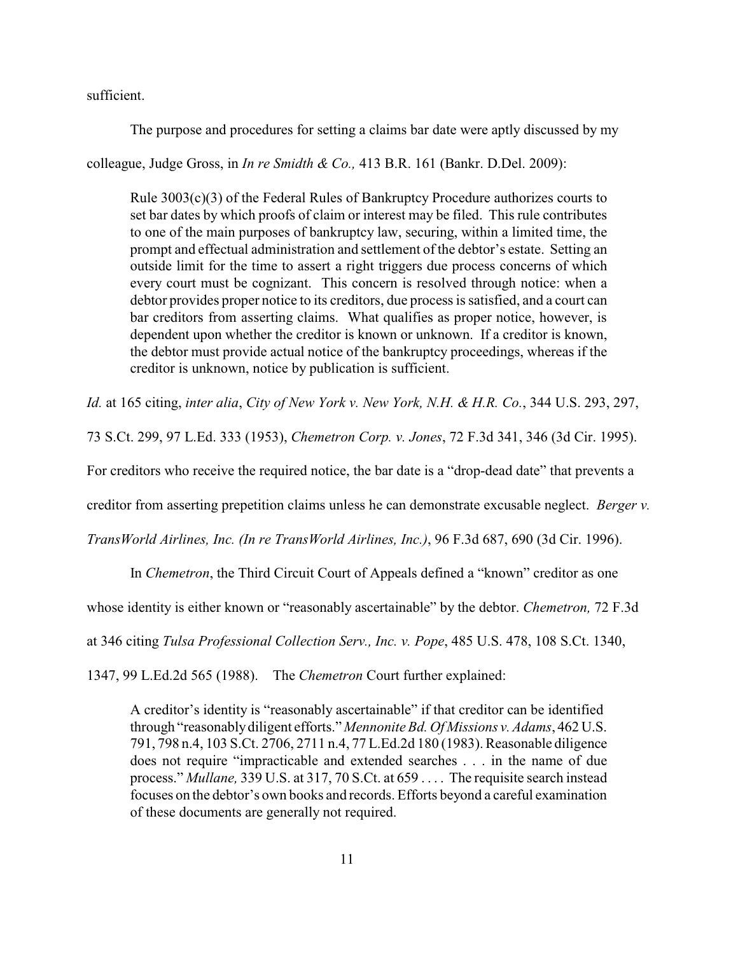sufficient.

The purpose and procedures for setting a claims bar date were aptly discussed by my

colleague, Judge Gross, in *In re Smidth & Co.,* 413 B.R. 161 (Bankr. D.Del. 2009):

Rule 3003(c)(3) of the Federal Rules of Bankruptcy Procedure authorizes courts to set bar dates by which proofs of claim or interest may be filed. This rule contributes to one of the main purposes of bankruptcy law, securing, within a limited time, the prompt and effectual administration and settlement of the debtor's estate. Setting an outside limit for the time to assert a right triggers due process concerns of which every court must be cognizant. This concern is resolved through notice: when a debtor provides proper notice to its creditors, due process is satisfied, and a court can bar creditors from asserting claims. What qualifies as proper notice, however, is dependent upon whether the creditor is known or unknown. If a creditor is known, the debtor must provide actual notice of the bankruptcy proceedings, whereas if the creditor is unknown, notice by publication is sufficient.

*Id.* at 165 citing, *inter alia*, *City of New York v. New York, N.H. & H.R. Co.*, 344 U.S. 293, 297,

73 S.Ct. 299, 97 L.Ed. 333 (1953), *Chemetron Corp. v. Jones*, 72 F.3d 341, 346 (3d Cir. 1995).

For creditors who receive the required notice, the bar date is a "drop-dead date" that prevents a

creditor from asserting prepetition claims unless he can demonstrate excusable neglect. *Berger v.*

*TransWorld Airlines, Inc. (In re TransWorld Airlines, Inc.)*, 96 F.3d 687, 690 (3d Cir. 1996).

In *Chemetron*, the Third Circuit Court of Appeals defined a "known" creditor as one

whose identity is either known or "reasonably ascertainable" by the debtor. *Chemetron,* 72 F.3d

at 346 citing *Tulsa Professional Collection Serv., Inc. v. Pope*, 485 U.S. 478, 108 S.Ct. 1340,

1347, 99 L.Ed.2d 565 (1988). The *Chemetron* Court further explained:

A creditor's identity is "reasonably ascertainable" if that creditor can be identified through "reasonablydiligent efforts." *Mennonite Bd. Of Missions v. Adams*, 462 U.S. 791, 798 n.4, 103 S.Ct. 2706, 2711 n.4, 77 L.Ed.2d 180 (1983). Reasonable diligence does not require "impracticable and extended searches . . . in the name of due process." *Mullane,* 339 U.S. at 317, 70 S.Ct. at 659 . . . . The requisite search instead focuses on the debtor's own books and records. Efforts beyond a careful examination of these documents are generally not required.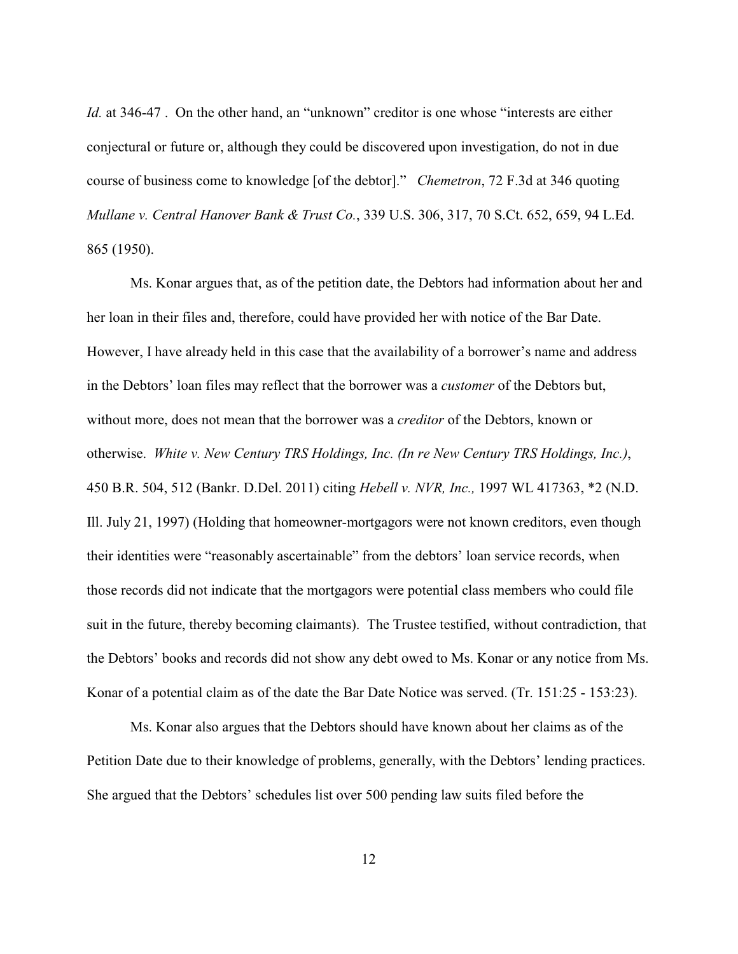*Id.* at 346-47. On the other hand, an "unknown" creditor is one whose "interests are either conjectural or future or, although they could be discovered upon investigation, do not in due course of business come to knowledge [of the debtor]." *Chemetron*, 72 F.3d at 346 quoting *Mullane v. Central Hanover Bank & Trust Co.*, 339 U.S. 306, 317, 70 S.Ct. 652, 659, 94 L.Ed. 865 (1950).

Ms. Konar argues that, as of the petition date, the Debtors had information about her and her loan in their files and, therefore, could have provided her with notice of the Bar Date. However, I have already held in this case that the availability of a borrower's name and address in the Debtors' loan files may reflect that the borrower was a *customer* of the Debtors but, without more, does not mean that the borrower was a *creditor* of the Debtors, known or otherwise. *White v. New Century TRS Holdings, Inc. (In re New Century TRS Holdings, Inc.)*, 450 B.R. 504, 512 (Bankr. D.Del. 2011) citing *Hebell v. NVR, Inc.,* 1997 WL 417363, \*2 (N.D. Ill. July 21, 1997) (Holding that homeowner-mortgagors were not known creditors, even though their identities were "reasonably ascertainable" from the debtors' loan service records, when those records did not indicate that the mortgagors were potential class members who could file suit in the future, thereby becoming claimants). The Trustee testified, without contradiction, that the Debtors' books and records did not show any debt owed to Ms. Konar or any notice from Ms. Konar of a potential claim as of the date the Bar Date Notice was served. (Tr. 151:25 - 153:23).

Ms. Konar also argues that the Debtors should have known about her claims as of the Petition Date due to their knowledge of problems, generally, with the Debtors' lending practices. She argued that the Debtors' schedules list over 500 pending law suits filed before the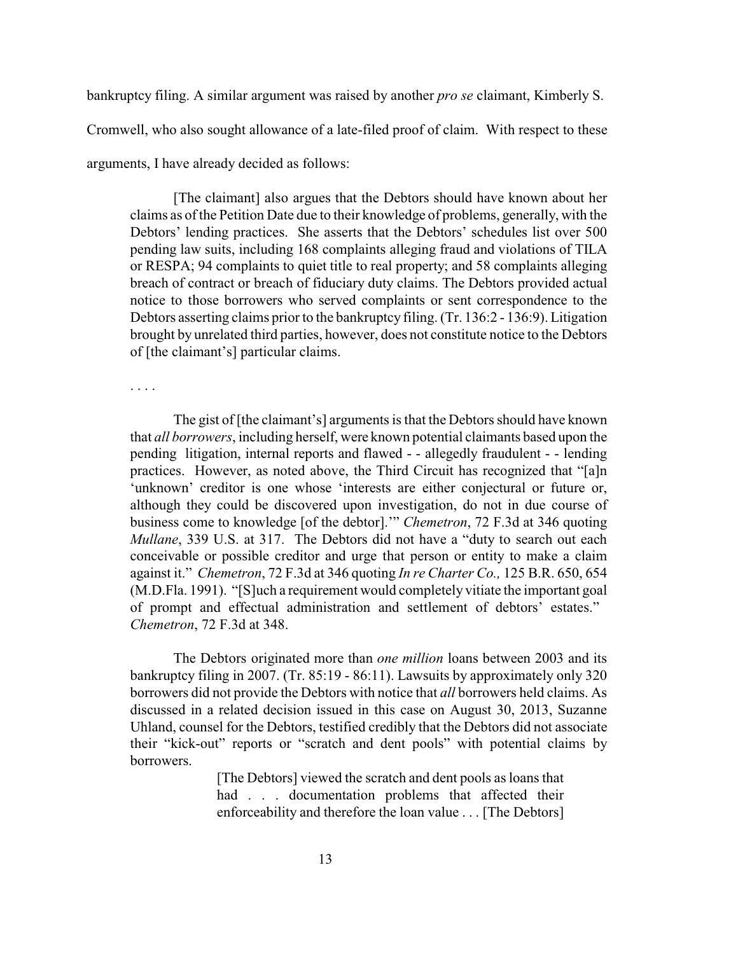bankruptcy filing. A similar argument was raised by another *pro se* claimant, Kimberly S.

Cromwell, who also sought allowance of a late-filed proof of claim. With respect to these

arguments, I have already decided as follows:

[The claimant] also argues that the Debtors should have known about her claims as of the Petition Date due to their knowledge of problems, generally, with the Debtors' lending practices. She asserts that the Debtors' schedules list over 500 pending law suits, including 168 complaints alleging fraud and violations of TILA or RESPA; 94 complaints to quiet title to real property; and 58 complaints alleging breach of contract or breach of fiduciary duty claims. The Debtors provided actual notice to those borrowers who served complaints or sent correspondence to the Debtors asserting claims prior to the bankruptcy filing. (Tr. 136:2 - 136:9). Litigation brought by unrelated third parties, however, does not constitute notice to the Debtors of [the claimant's] particular claims.

. . . .

The gist of [the claimant's] arguments is that the Debtors should have known that *all borrowers*, including herself, were known potential claimants based upon the pending litigation, internal reports and flawed - - allegedly fraudulent - - lending practices. However, as noted above, the Third Circuit has recognized that "[a]n 'unknown' creditor is one whose 'interests are either conjectural or future or, although they could be discovered upon investigation, do not in due course of business come to knowledge [of the debtor].'" *Chemetron*, 72 F.3d at 346 quoting *Mullane*, 339 U.S. at 317. The Debtors did not have a "duty to search out each conceivable or possible creditor and urge that person or entity to make a claim against it." *Chemetron*, 72 F.3d at 346 quoting *In re Charter Co.,* 125 B.R. 650, 654 (M.D.Fla. 1991). "[S]uch a requirement would completely vitiate the important goal of prompt and effectual administration and settlement of debtors' estates." *Chemetron*, 72 F.3d at 348.

The Debtors originated more than *one million* loans between 2003 and its bankruptcy filing in 2007. (Tr. 85:19 - 86:11). Lawsuits by approximately only 320 borrowers did not provide the Debtors with notice that *all* borrowers held claims. As discussed in a related decision issued in this case on August 30, 2013, Suzanne Uhland, counsel for the Debtors, testified credibly that the Debtors did not associate their "kick-out" reports or "scratch and dent pools" with potential claims by **borrowers** 

> [The Debtors] viewed the scratch and dent pools as loans that had . . . documentation problems that affected their enforceability and therefore the loan value . . . [The Debtors]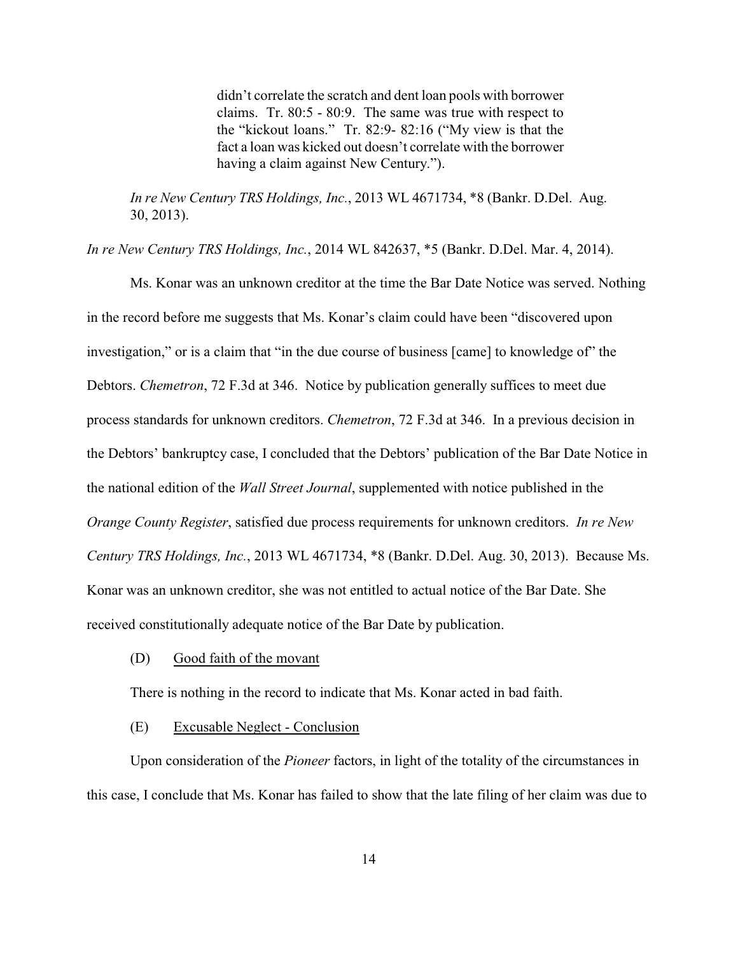didn't correlate the scratch and dent loan pools with borrower claims. Tr. 80:5 - 80:9. The same was true with respect to the "kickout loans." Tr. 82:9- 82:16 ("My view is that the fact a loan was kicked out doesn't correlate with the borrower having a claim against New Century.").

*In re New Century TRS Holdings, Inc.*, 2013 WL 4671734, \*8 (Bankr. D.Del. Aug. 30, 2013).

*In re New Century TRS Holdings, Inc.*, 2014 WL 842637, \*5 (Bankr. D.Del. Mar. 4, 2014).

Ms. Konar was an unknown creditor at the time the Bar Date Notice was served. Nothing in the record before me suggests that Ms. Konar's claim could have been "discovered upon investigation," or is a claim that "in the due course of business [came] to knowledge of" the Debtors. *Chemetron*, 72 F.3d at 346. Notice by publication generally suffices to meet due process standards for unknown creditors. *Chemetron*, 72 F.3d at 346. In a previous decision in the Debtors' bankruptcy case, I concluded that the Debtors' publication of the Bar Date Notice in the national edition of the *Wall Street Journal*, supplemented with notice published in the *Orange County Register*, satisfied due process requirements for unknown creditors. *In re New Century TRS Holdings, Inc.*, 2013 WL 4671734, \*8 (Bankr. D.Del. Aug. 30, 2013). Because Ms. Konar was an unknown creditor, she was not entitled to actual notice of the Bar Date. She received constitutionally adequate notice of the Bar Date by publication.

(D) Good faith of the movant

There is nothing in the record to indicate that Ms. Konar acted in bad faith.

## (E) Excusable Neglect - Conclusion

Upon consideration of the *Pioneer* factors, in light of the totality of the circumstances in this case, I conclude that Ms. Konar has failed to show that the late filing of her claim was due to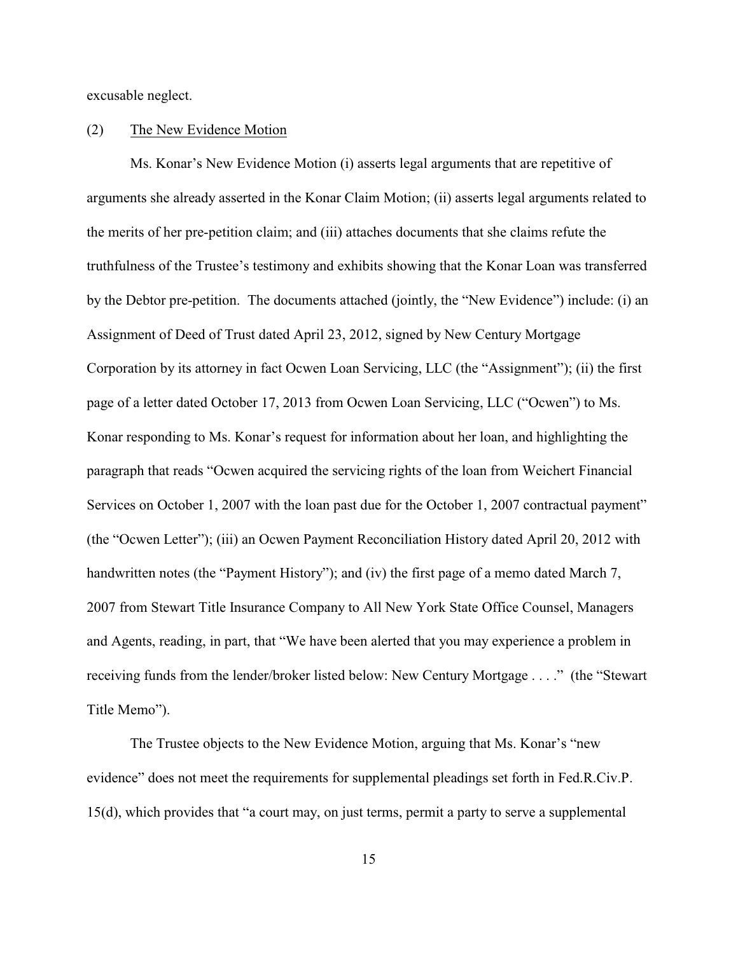excusable neglect.

### (2) The New Evidence Motion

Ms. Konar's New Evidence Motion (i) asserts legal arguments that are repetitive of arguments she already asserted in the Konar Claim Motion; (ii) asserts legal arguments related to the merits of her pre-petition claim; and (iii) attaches documents that she claims refute the truthfulness of the Trustee's testimony and exhibits showing that the Konar Loan was transferred by the Debtor pre-petition. The documents attached (jointly, the "New Evidence") include: (i) an Assignment of Deed of Trust dated April 23, 2012, signed by New Century Mortgage Corporation by its attorney in fact Ocwen Loan Servicing, LLC (the "Assignment"); (ii) the first page of a letter dated October 17, 2013 from Ocwen Loan Servicing, LLC ("Ocwen") to Ms. Konar responding to Ms. Konar's request for information about her loan, and highlighting the paragraph that reads "Ocwen acquired the servicing rights of the loan from Weichert Financial Services on October 1, 2007 with the loan past due for the October 1, 2007 contractual payment" (the "Ocwen Letter"); (iii) an Ocwen Payment Reconciliation History dated April 20, 2012 with handwritten notes (the "Payment History"); and (iv) the first page of a memo dated March 7, 2007 from Stewart Title Insurance Company to All New York State Office Counsel, Managers and Agents, reading, in part, that "We have been alerted that you may experience a problem in receiving funds from the lender/broker listed below: New Century Mortgage . . . ." (the "Stewart Title Memo").

The Trustee objects to the New Evidence Motion, arguing that Ms. Konar's "new evidence" does not meet the requirements for supplemental pleadings set forth in Fed.R.Civ.P. 15(d), which provides that "a court may, on just terms, permit a party to serve a supplemental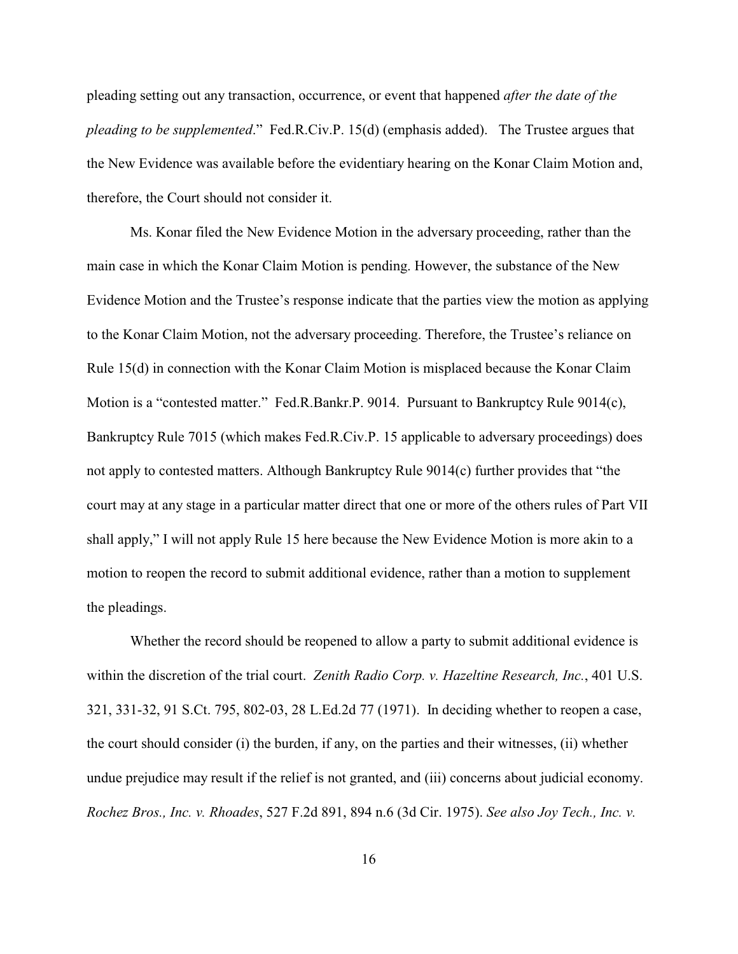pleading setting out any transaction, occurrence, or event that happened *after the date of the pleading to be supplemented*." Fed.R.Civ.P. 15(d) (emphasis added). The Trustee argues that the New Evidence was available before the evidentiary hearing on the Konar Claim Motion and, therefore, the Court should not consider it.

Ms. Konar filed the New Evidence Motion in the adversary proceeding, rather than the main case in which the Konar Claim Motion is pending. However, the substance of the New Evidence Motion and the Trustee's response indicate that the parties view the motion as applying to the Konar Claim Motion, not the adversary proceeding. Therefore, the Trustee's reliance on Rule 15(d) in connection with the Konar Claim Motion is misplaced because the Konar Claim Motion is a "contested matter." Fed.R.Bankr.P. 9014. Pursuant to Bankruptcy Rule 9014(c), Bankruptcy Rule 7015 (which makes Fed.R.Civ.P. 15 applicable to adversary proceedings) does not apply to contested matters. Although Bankruptcy Rule 9014(c) further provides that "the court may at any stage in a particular matter direct that one or more of the others rules of Part VII shall apply," I will not apply Rule 15 here because the New Evidence Motion is more akin to a motion to reopen the record to submit additional evidence, rather than a motion to supplement the pleadings.

Whether the record should be reopened to allow a party to submit additional evidence is within the discretion of the trial court. *Zenith Radio Corp. v. Hazeltine Research, Inc.*, 401 U.S. 321, 331-32, 91 S.Ct. 795, 802-03, 28 L.Ed.2d 77 (1971). In deciding whether to reopen a case, the court should consider (i) the burden, if any, on the parties and their witnesses, (ii) whether undue prejudice may result if the relief is not granted, and (iii) concerns about judicial economy. *Rochez Bros., Inc. v. Rhoades*, 527 F.2d 891, 894 n.6 (3d Cir. 1975). *See also Joy Tech., Inc. v.*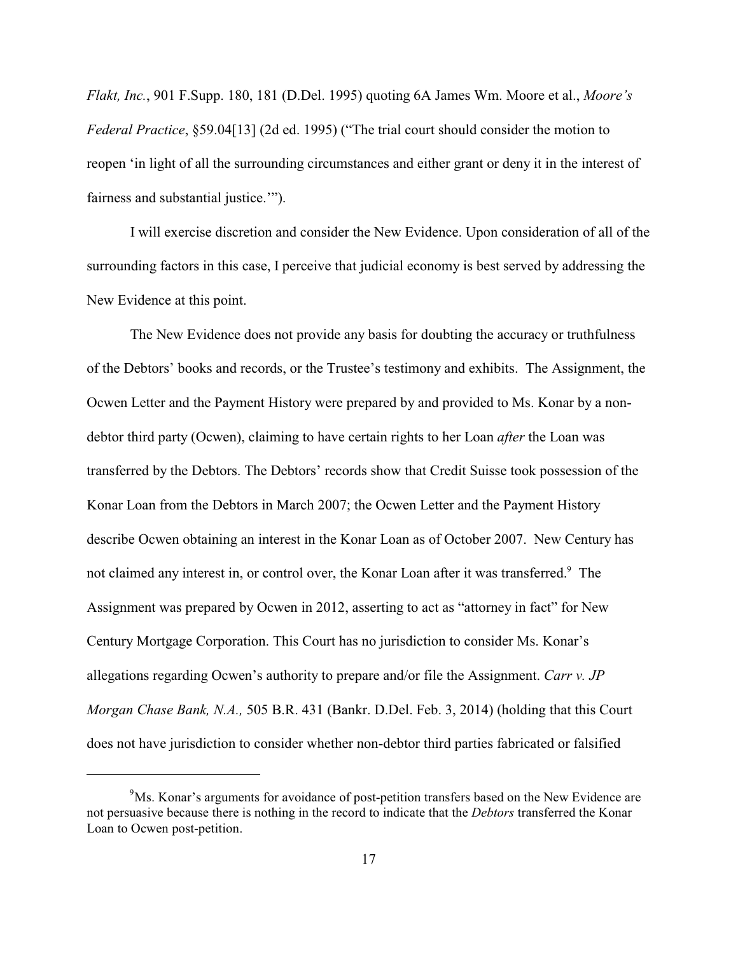*Flakt, Inc.*, 901 F.Supp. 180, 181 (D.Del. 1995) quoting 6A James Wm. Moore et al., *Moore's Federal Practice*, §59.04[13] (2d ed. 1995) ("The trial court should consider the motion to reopen 'in light of all the surrounding circumstances and either grant or deny it in the interest of fairness and substantial justice.'").

I will exercise discretion and consider the New Evidence. Upon consideration of all of the surrounding factors in this case, I perceive that judicial economy is best served by addressing the New Evidence at this point.

The New Evidence does not provide any basis for doubting the accuracy or truthfulness of the Debtors' books and records, or the Trustee's testimony and exhibits. The Assignment, the Ocwen Letter and the Payment History were prepared by and provided to Ms. Konar by a nondebtor third party (Ocwen), claiming to have certain rights to her Loan *after* the Loan was transferred by the Debtors. The Debtors' records show that Credit Suisse took possession of the Konar Loan from the Debtors in March 2007; the Ocwen Letter and the Payment History describe Ocwen obtaining an interest in the Konar Loan as of October 2007. New Century has not claimed any interest in, or control over, the Konar Loan after it was transferred.<sup>9</sup> The Assignment was prepared by Ocwen in 2012, asserting to act as "attorney in fact" for New Century Mortgage Corporation. This Court has no jurisdiction to consider Ms. Konar's allegations regarding Ocwen's authority to prepare and/or file the Assignment. *Carr v. JP Morgan Chase Bank, N.A.,* 505 B.R. 431 (Bankr. D.Del. Feb. 3, 2014) (holding that this Court does not have jurisdiction to consider whether non-debtor third parties fabricated or falsified

 $9<sup>9</sup>$ Ms. Konar's arguments for avoidance of post-petition transfers based on the New Evidence are not persuasive because there is nothing in the record to indicate that the *Debtors* transferred the Konar Loan to Ocwen post-petition.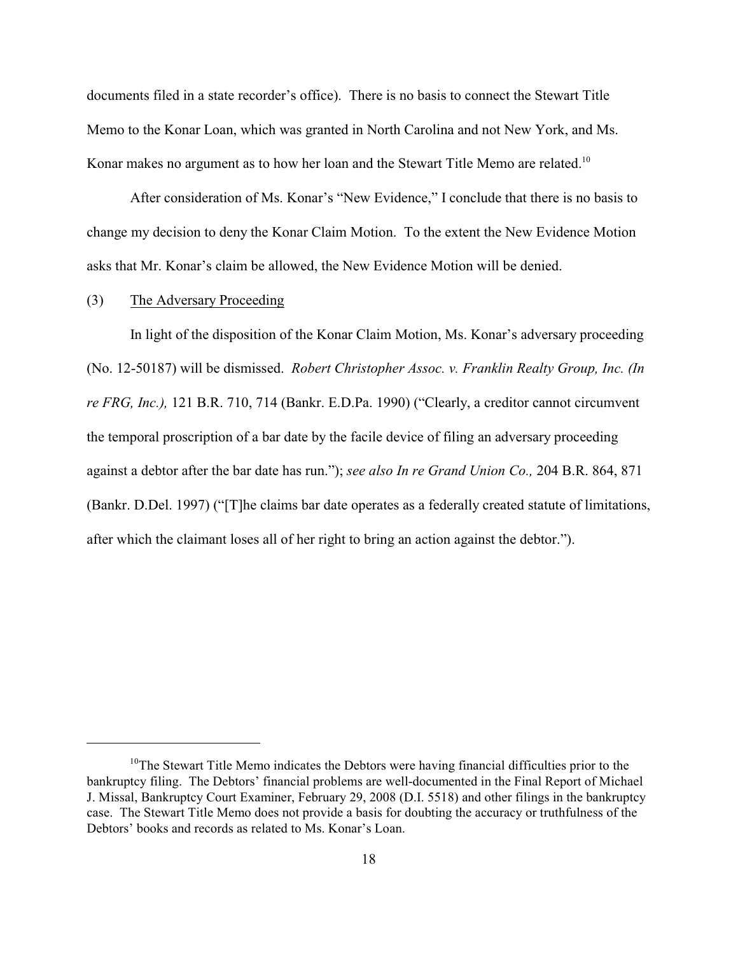documents filed in a state recorder's office). There is no basis to connect the Stewart Title Memo to the Konar Loan, which was granted in North Carolina and not New York, and Ms. Konar makes no argument as to how her loan and the Stewart Title Memo are related.<sup>10</sup>

After consideration of Ms. Konar's "New Evidence," I conclude that there is no basis to change my decision to deny the Konar Claim Motion. To the extent the New Evidence Motion asks that Mr. Konar's claim be allowed, the New Evidence Motion will be denied.

## (3) The Adversary Proceeding

In light of the disposition of the Konar Claim Motion, Ms. Konar's adversary proceeding (No. 12-50187) will be dismissed. *Robert Christopher Assoc. v. Franklin Realty Group, Inc. (In re FRG, Inc.),* 121 B.R. 710, 714 (Bankr. E.D.Pa. 1990) ("Clearly, a creditor cannot circumvent the temporal proscription of a bar date by the facile device of filing an adversary proceeding against a debtor after the bar date has run."); *see also In re Grand Union Co.,* 204 B.R. 864, 871 (Bankr. D.Del. 1997) ("[T]he claims bar date operates as a federally created statute of limitations, after which the claimant loses all of her right to bring an action against the debtor.").

 $10$ <sup>10</sup>The Stewart Title Memo indicates the Debtors were having financial difficulties prior to the bankruptcy filing. The Debtors' financial problems are well-documented in the Final Report of Michael J. Missal, Bankruptcy Court Examiner, February 29, 2008 (D.I. 5518) and other filings in the bankruptcy case. The Stewart Title Memo does not provide a basis for doubting the accuracy or truthfulness of the Debtors' books and records as related to Ms. Konar's Loan.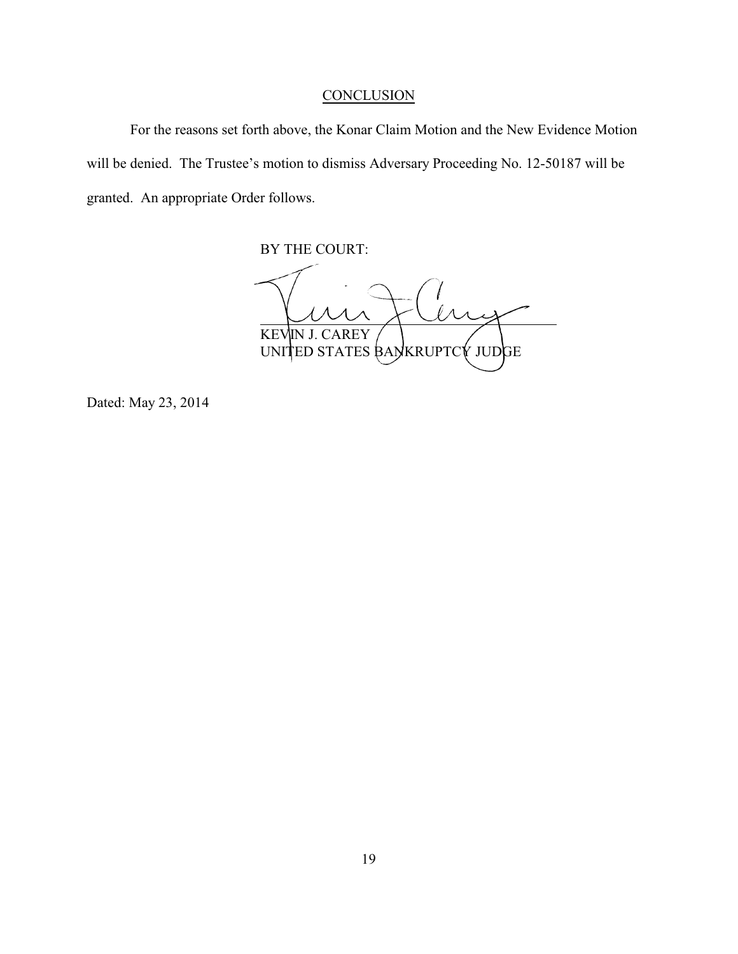## **CONCLUSION**

For the reasons set forth above, the Konar Claim Motion and the New Evidence Motion will be denied. The Trustee's motion to dismiss Adversary Proceeding No. 12-50187 will be granted. An appropriate Order follows.

BY THE COURT:

 $\overline{\mathcal{M}}$ l KEVIN J. CAREY UNITED STATES BANKRUPTCY JUDGE

Dated: May 23, 2014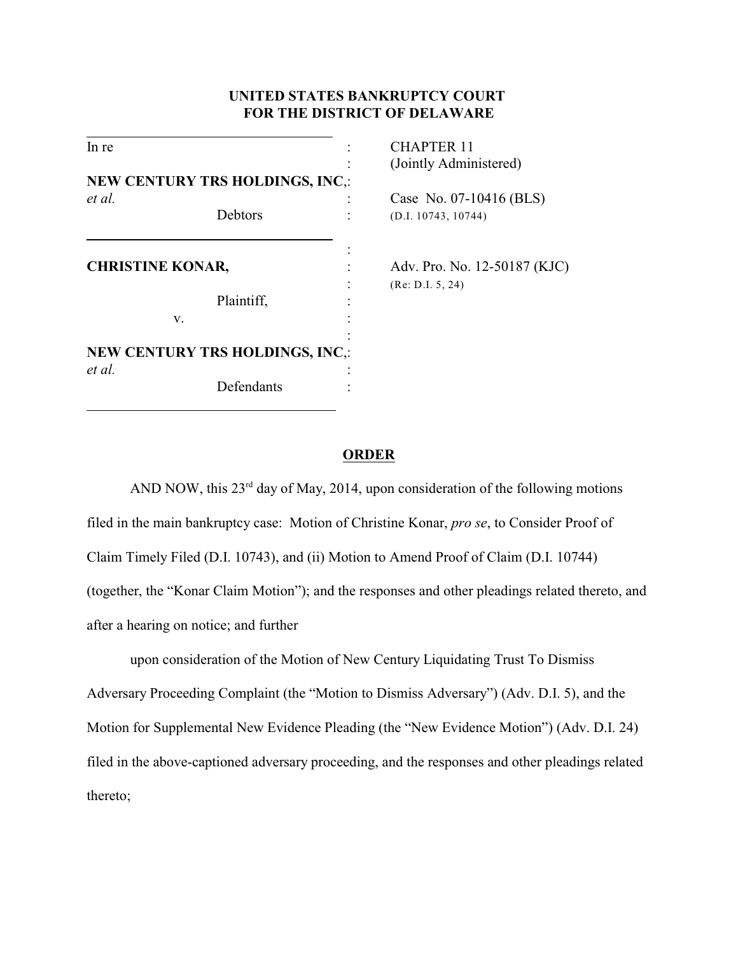## **UNITED STATES BANKRUPTCY COURT FOR THE DISTRICT OF DELAWARE**

| In re                   |                                        | <b>CHAPTER 11</b> |                              |
|-------------------------|----------------------------------------|-------------------|------------------------------|
|                         |                                        |                   | (Jointly Administered)       |
|                         | <b>NEW CENTURY TRS HOLDINGS, INC,:</b> |                   |                              |
| et al.                  |                                        |                   | Case No. 07-10416 (BLS)      |
|                         | Debtors                                |                   | (D.I. 10743, 10744)          |
| <b>CHRISTINE KONAR,</b> |                                        |                   | Adv. Pro. No. 12-50187 (KJC) |
|                         | Plaintiff,                             |                   | (Re: D.I. 5, 24)             |
|                         | V.                                     |                   |                              |
|                         | <b>NEW CENTURY TRS HOLDINGS, INC.:</b> |                   |                              |
| et al.                  | Defendants                             |                   |                              |

### **ORDER**

AND NOW, this  $23<sup>rd</sup>$  day of May, 2014, upon consideration of the following motions filed in the main bankruptcy case: Motion of Christine Konar, *pro se*, to Consider Proof of Claim Timely Filed (D.I. 10743), and (ii) Motion to Amend Proof of Claim (D.I. 10744) (together, the "Konar Claim Motion"); and the responses and other pleadings related thereto, and after a hearing on notice; and further

upon consideration of the Motion of New Century Liquidating Trust To Dismiss Adversary Proceeding Complaint (the "Motion to Dismiss Adversary") (Adv. D.I. 5), and the Motion for Supplemental New Evidence Pleading (the "New Evidence Motion") (Adv. D.I. 24) filed in the above-captioned adversary proceeding, and the responses and other pleadings related thereto;